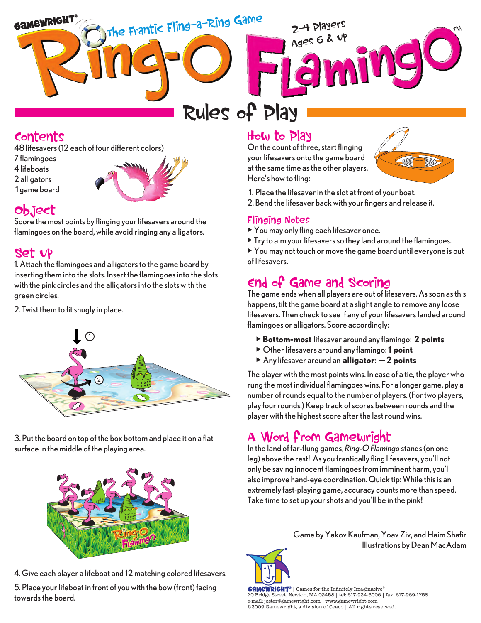

# **Rules of Play**

# **Contents**

48 lifesavers (12 each of four different colors)

- 7 flamingoes 4 lifeboats
- 2 alligators
- 1 game board



# **Object**

Score the most points by flinging your lifesavers around the flamingoes on the board, while avoid ringing any alligators.

# **Set Up**

1. Attach the flamingoes and alligators to the game board by inserting them into the slots. Insert the flamingoes into the slots with the pink circles and the alligators into the slots with the green circles.

2. Twist them to fit snugly in place.



3. Put the board on top of the box bottom and place it on a flat surface in the middle of the playing area.



4. Give each player a lifeboat and 12 matching colored lifesavers.

5. Place your lifeboat in front of you with the bow (front) facing towards the board.

# **How to Play**

On the count of three, start flinging your lifesavers onto the game board at the same time as the other players. Here's how to fling:



- 1. Place the lifesaver in the slot at front of your boat.
- 2. Bend the lifesaver back with your fingers and release it.

#### **Flinging Notes**

- You may only fling each lifesaver once.
- $\triangleright$  Try to aim your lifesavers so they land around the flamingoes.

• You may not touch or move the game board until everyone is out of lifesavers.

# **End of Game and Scoring**

The game ends when all players are out of lifesavers. As soon as this happens, tilt the game board at a slight angle to remove any loose lifesavers. Then check to see if any of your lifesavers landed around flamingoes or alligators. Score accordingly:

- •**Bottom-most** lifesaver around any flamingo: **2 points**
- Other lifesavers around any flamingo: **1 point**
- Any lifesaver around an **alligator**: — **2 points**

The player with the most points wins. In case of a tie, the player who rung the most individual flamingoes wins. For a longer game, play a number of rounds equal to the number of players. (For two players, play four rounds.) Keep track of scores between rounds and the player with the highest score after the last round wins.

# **A Word from Gamewright**

In the land of far-flung games, *Ring-O Flamingo* stands (on one leg) above the rest! As you frantically fling lifesavers, you'll not only be saving innocent flamingoes from imminent harm, you'll also improve hand-eye coordination. Quick tip: While this is an extremely fast-playing game, accuracy counts more than speed. Take time to set up your shots and you'll be in the pink!

> Game by Yakov Kaufman, Yoav Ziv, and Haim Shafir Illustrations by Dean MacAdam



**GAMEWRIGHT**® | Games for the Infinitely Imaginative® 70 Bridge Street, Newton, MA 02458 | tel: 617-924-6006 | fax: 617-969-1758 e-mail: jester@gamewright.com | www.gamewright.com ©2009 Gamewright, a division of Ceaco | All rights reserved.